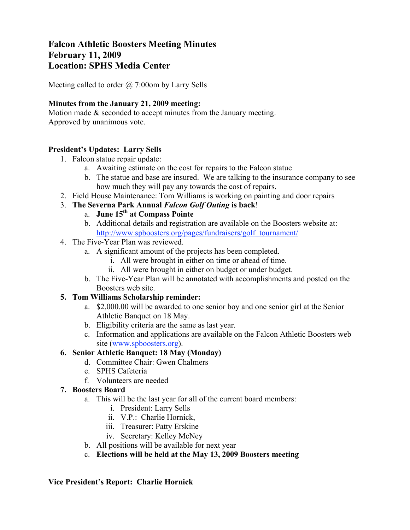# **Falcon Athletic Boosters Meeting Minutes February 11, 2009 Location: SPHS Media Center**

Meeting called to order  $\omega$  7:00 om by Larry Sells

## **Minutes from the January 21, 2009 meeting:**

Motion made & seconded to accept minutes from the January meeting. Approved by unanimous vote.

# **President's Updates: Larry Sells**

- 1. Falcon statue repair update:
	- a. Awaiting estimate on the cost for repairs to the Falcon statue
	- b. The statue and base are insured. We are talking to the insurance company to see how much they will pay any towards the cost of repairs.
- 2. Field House Maintenance: Tom Williams is working on painting and door repairs
- 3. **The Severna Park Annual** *Falcon Golf Outing* **is back**!
	- a. **June 15th at Compass Pointe**
	- b. Additional details and registration are available on the Boosters website at: http://www.spboosters.org/pages/fundraisers/golf\_tournament/
- 4. The Five-Year Plan was reviewed.
	- a. A significant amount of the projects has been completed.
		- i. All were brought in either on time or ahead of time.
		- ii. All were brought in either on budget or under budget.
	- b. The Five-Year Plan will be annotated with accomplishments and posted on the Boosters web site.

# **5. Tom Williams Scholarship reminder:**

- a. \$2,000.00 will be awarded to one senior boy and one senior girl at the Senior Athletic Banquet on 18 May.
- b. Eligibility criteria are the same as last year.
- c. Information and applications are available on the Falcon Athletic Boosters web site (www.spboosters.org).

# **6. Senior Athletic Banquet: 18 May (Monday)**

- d. Committee Chair: Gwen Chalmers
- e. SPHS Cafeteria
- f. Volunteers are needed

# **7. Boosters Board**

- a. This will be the last year for all of the current board members:
	- i. President: Larry Sells
	- ii. V.P.: Charlie Hornick,
	- iii. Treasurer: Patty Erskine
	- iv. Secretary: Kelley McNey
- b. All positions will be available for next year
- c. **Elections will be held at the May 13, 2009 Boosters meeting**

#### **Vice President's Report: Charlie Hornick**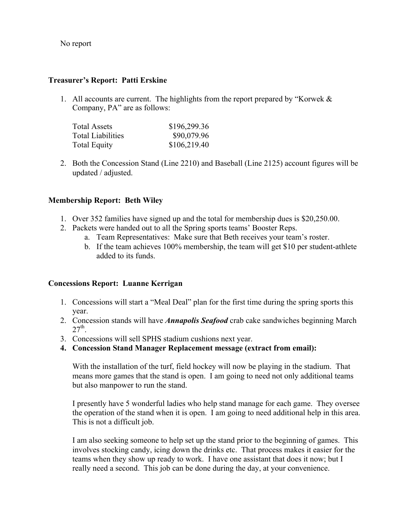No report

## **Treasurer's Report: Patti Erskine**

1. All accounts are current. The highlights from the report prepared by "Korwek & Company, PA" are as follows:

| <b>Total Assets</b>      | \$196,299.36 |
|--------------------------|--------------|
| <b>Total Liabilities</b> | \$90,079.96  |
| <b>Total Equity</b>      | \$106,219.40 |

2. Both the Concession Stand (Line 2210) and Baseball (Line 2125) account figures will be updated / adjusted.

### **Membership Report: Beth Wiley**

- 1. Over 352 families have signed up and the total for membership dues is \$20,250.00.
- 2. Packets were handed out to all the Spring sports teams' Booster Reps.
	- a. Team Representatives: Make sure that Beth receives your team's roster.
	- b. If the team achieves 100% membership, the team will get \$10 per student-athlete added to its funds.

# **Concessions Report: Luanne Kerrigan**

- 1. Concessions will start a "Meal Deal" plan for the first time during the spring sports this year.
- 2. Concession stands will have *Annapolis Seafood* crab cake sandwiches beginning March  $27<sup>th</sup>$
- 3. Concessions will sell SPHS stadium cushions next year.
- **4. Concession Stand Manager Replacement message (extract from email):**

With the installation of the turf, field hockey will now be playing in the stadium. That means more games that the stand is open. I am going to need not only additional teams but also manpower to run the stand.

I presently have 5 wonderful ladies who help stand manage for each game. They oversee the operation of the stand when it is open. I am going to need additional help in this area. This is not a difficult job.

I am also seeking someone to help set up the stand prior to the beginning of games. This involves stocking candy, icing down the drinks etc. That process makes it easier for the teams when they show up ready to work. I have one assistant that does it now; but I really need a second. This job can be done during the day, at your convenience.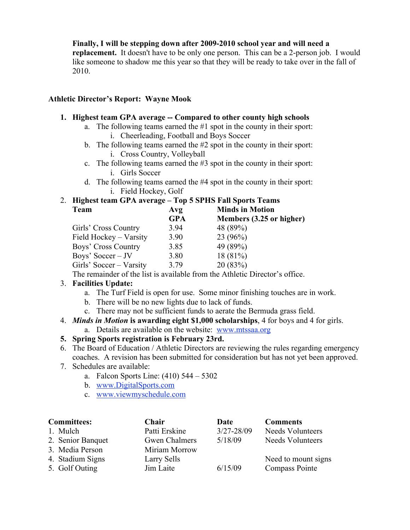### **Finally, I will be stepping down after 2009-2010 school year and will need a**

**replacement.** It doesn't have to be only one person. This can be a 2-person job. I would like someone to shadow me this year so that they will be ready to take over in the fall of 2010.

## **Athletic Director's Report: Wayne Mook**

### **1. Highest team GPA average -- Compared to other county high schools**

- a. The following teams earned the #1 spot in the county in their sport: i. Cheerleading, Football and Boys Soccer
- b. The following teams earned the #2 spot in the county in their sport: i. Cross Country, Volleyball
- c. The following teams earned the #3 spot in the county in their sport: i. Girls Soccer
- d. The following teams earned the #4 spot in the county in their sport: i. Field Hockey, Golf

# 2. **Highest team GPA average – Top 5 SPHS Fall Sports Teams**

| <b>Team</b>             | Avg        | <b>Minds in Motion</b>   |  |
|-------------------------|------------|--------------------------|--|
|                         | <b>GPA</b> | Members (3.25 or higher) |  |
| Girls' Cross Country    | 3.94       | 48 (89%)                 |  |
| Field Hockey - Varsity  | 3.90       | 23(96%)                  |  |
| Boys' Cross Country     | 3.85       | 49 (89%)                 |  |
| Boys' Soccer $-$ JV     | 3.80       | 18(81%)                  |  |
| Girls' Soccer – Varsity | 3.79       | 20(83%)                  |  |
|                         |            |                          |  |

The remainder of the list is available from the Athletic Director's office.

# 3. **Facilities Update:**

- a. The Turf Field is open for use. Some minor finishing touches are in work.
- b. There will be no new lights due to lack of funds.
- c. There may not be sufficient funds to aerate the Bermuda grass field.
- 4. *Minds in Motion* **is awarding eight \$1,000 scholarships**, 4 for boys and 4 for girls. a. Details are available on the website: www.mtssaa.org

# **5. Spring Sports registration is February 23rd.**

- 6. The Board of Education / Athletic Directors are reviewing the rules regarding emergency coaches. A revision has been submitted for consideration but has not yet been approved.
- 7. Schedules are available:
	- a. Falcon Sports Line: (410) 544 5302
	- b. www.DigitalSports.com
	- c. www.viewmyschedule.com

| <b>Committees:</b> | Chair         | Date           | <b>Comments</b>         |
|--------------------|---------------|----------------|-------------------------|
| 1. Mulch           | Patti Erskine | $3/27 - 28/09$ | <b>Needs Volunteers</b> |
| 2. Senior Banquet  | Gwen Chalmers | 5/18/09        | <b>Needs Volunteers</b> |
| 3. Media Person    | Miriam Morrow |                |                         |
| 4. Stadium Signs   | Larry Sells   |                | Need to mount signs     |
| 5. Golf Outing     | Jim Laite     | 6/15/09        | <b>Compass Pointe</b>   |